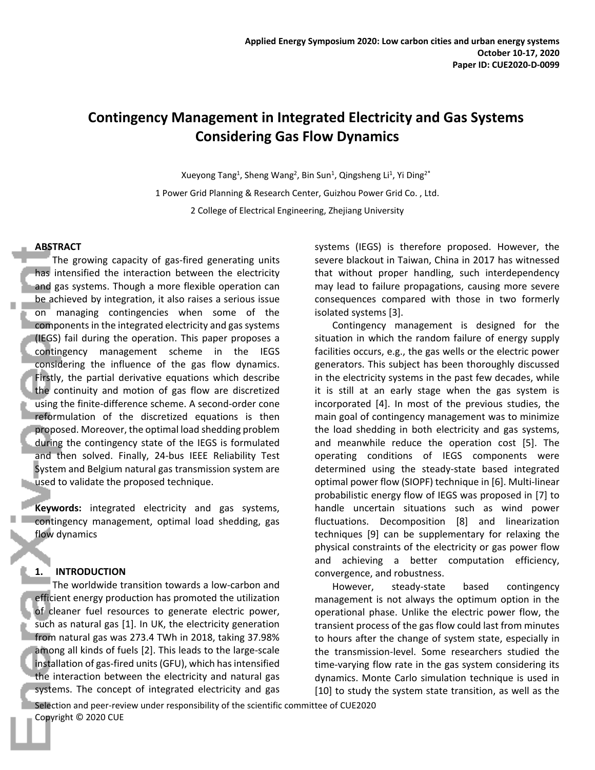# **Contingency Management in Integrated Electricity and Gas Systems Considering Gas Flow Dynamics**

Xueyong Tang<sup>1</sup>, Sheng Wang<sup>2</sup>, Bin Sun<sup>1</sup>, Qingsheng Li<sup>1</sup>, Yi Ding<sup>2\*</sup> 1 Power Grid Planning & Research Center, Guizhou Power Grid Co. , Ltd. 2 College of Electrical Engineering, Zhejiang University

# **ABSTRACT**

The growing capacity of gas-fired generating units has intensified the interaction between the electricity and gas systems. Though a more flexible operation can be achieved by integration, it also raises a serious issue on managing contingencies when some of the components in the integrated electricity and gas systems (IEGS) fail during the operation. This paper proposes a contingency management scheme in the IEGS considering the influence of the gas flow dynamics. Firstly, the partial derivative equations which describe the continuity and motion of gas flow are discretized using the finite-difference scheme. A second-order cone reformulation of the discretized equations is then proposed. Moreover, the optimal load shedding problem during the contingency state of the IEGS is formulated and then solved. Finally, 24-bus IEEE Reliability Test System and Belgium natural gas transmission system are used to validate the proposed technique.

**Keywords:** integrated electricity and gas systems, contingency management, optimal load shedding, gas flow dynamics

# **1. INTRODUCTION**

The worldwide transition towards a low-carbon and efficient energy production has promoted the utilization of cleaner fuel resources to generate electric power, such as natural gas [1]. In UK, the electricity generation from natural gas was 273.4 TWh in 2018, taking 37.98% among all kinds of fuels [2]. This leads to the large-scale installation of gas-fired units (GFU), which has intensified the interaction between the electricity and natural gas systems. The concept of integrated electricity and gas systems (IEGS) is therefore proposed. However, the severe blackout in Taiwan, China in 2017 has witnessed that without proper handling, such interdependency may lead to failure propagations, causing more severe consequences compared with those in two formerly isolated systems [3].

Contingency management is designed for the situation in which the random failure of energy supply facilities occurs, e.g., the gas wells or the electric power generators. This subject has been thoroughly discussed in the electricity systems in the past few decades, while it is still at an early stage when the gas system is incorporated [4]. In most of the previous studies, the main goal of contingency management was to minimize the load shedding in both electricity and gas systems, and meanwhile reduce the operation cost [5]. The operating conditions of IEGS components were determined using the steady-state based integrated optimal power flow (SIOPF) technique in [6]. Multi-linear probabilistic energy flow of IEGS was proposed in [7] to handle uncertain situations such as wind power fluctuations. Decomposition [8] and linearization techniques [9] can be supplementary for relaxing the physical constraints of the electricity or gas power flow and achieving a better computation efficiency, convergence, and robustness.

However, steady-state based contingency management is not always the optimum option in the operational phase. Unlike the electric power flow, the transient process of the gas flow could last from minutes to hours after the change of system state, especially in the transmission-level. Some researchers studied the time-varying flow rate in the gas system considering its dynamics. Monte Carlo simulation technique is used in [10] to study the system state transition, as well as the

Selection and peer-review under responsibility of the scientific committee of CUE2020 Copyright © 2020 CUE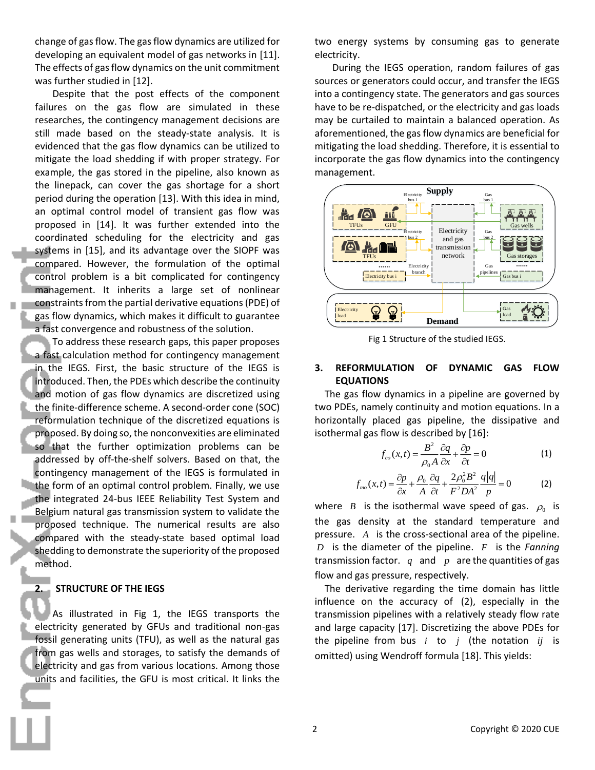change of gas flow. The gas flow dynamics are utilized for developing an equivalent model of gas networks in [11]. The effects of gas flow dynamics on the unit commitment was further studied in [12].

Despite that the post effects of the component failures on the gas flow are simulated in these researches, the contingency management decisions are still made based on the steady-state analysis. It is evidenced that the gas flow dynamics can be utilized to mitigate the load shedding if with proper strategy. For example, the gas stored in the pipeline, also known as the linepack, can cover the gas shortage for a short period during the operation [13]. With this idea in mind, an optimal control model of transient gas flow was proposed in [14]. It was further extended into the coordinated scheduling for the electricity and gas systems in [15], and its advantage over the SIOPF was compared. However, the formulation of the optimal control problem is a bit complicated for contingency management. It inherits a large set of nonlinear constraintsfrom the partial derivative equations(PDE) of gas flow dynamics, which makes it difficult to guarantee a fast convergence and robustness of the solution.

To address these research gaps, this paper proposes a fast calculation method for contingency management in the IEGS. First, the basic structure of the IEGS is introduced. Then, the PDEs which describe the continuity and motion of gas flow dynamics are discretized using the finite-difference scheme. A second-order cone (SOC) reformulation technique of the discretized equations is proposed. By doing so, the nonconvexities are eliminated so that the further optimization problems can be addressed by off-the-shelf solvers. Based on that, the contingency management of the IEGS is formulated in the form of an optimal control problem. Finally, we use the integrated 24-bus IEEE Reliability Test System and Belgium natural gas transmission system to validate the proposed technique. The numerical results are also compared with the steady-state based optimal load shedding to demonstrate the superiority of the proposed method.

# **2. STRUCTURE OF THE IEGS**

As illustrated in Fig 1, the IEGS transports the electricity generated by GFUs and traditional non-gas fossil generating units (TFU), as well as the natural gas from gas wells and storages, to satisfy the demands of electricity and gas from various locations. Among those units and facilities, the GFU is most critical. It links the two energy systems by consuming gas to generate electricity.

During the IEGS operation, random failures of gas sources or generators could occur, and transfer the IEGS into a contingency state. The generators and gas sources have to be re-dispatched, or the electricity and gas loads may be curtailed to maintain a balanced operation. As aforementioned, the gas flow dynamics are beneficial for mitigating the load shedding. Therefore, it is essential to incorporate the gas flow dynamics into the contingency management.



Fig 1 Structure of the studied IEGS.

# **3. REFORMULATION OF DYNAMIC GAS FLOW EQUATIONS**

The gas flow dynamics in a pipeline are governed by two PDEs, namely continuity and motion equations. In a horizontally placed gas pipeline, the dissipative and isothermal gas flow is described by [16]:

$$
f_{co}(x,t) = \frac{B^2}{\rho_0 A} \frac{\partial q}{\partial x} + \frac{\partial p}{\partial t} = 0
$$
 (1)

$$
f_{\scriptscriptstyle{mo}}(x,t) = \frac{\partial p}{\partial x} + \frac{\rho_0}{A} \frac{\partial q}{\partial t} + \frac{2\rho_0^2 B^2}{F^2 D A^2} \frac{q|q|}{p} = 0 \tag{2}
$$

where  $B$  is the isothermal wave speed of gas.  $\rho_0$  is the gas density at the standard temperature and pressure. *A* is the cross-sectional area of the pipeline. *D* is the diameter of the pipeline. *<sup>F</sup>* is the *Fanning* transmission factor.  $q$  and  $p$  are the quantities of gas flow and gas pressure, respectively.

The derivative regarding the time domain has little influence on the accuracy of (2), especially in the transmission pipelines with a relatively steady flow rate and large capacity [17]. Discretizing the above PDEs for the pipeline from bus  $i$  to  $j$  (the notation  $ij$  is omitted) using Wendroff formula [18]. This yields: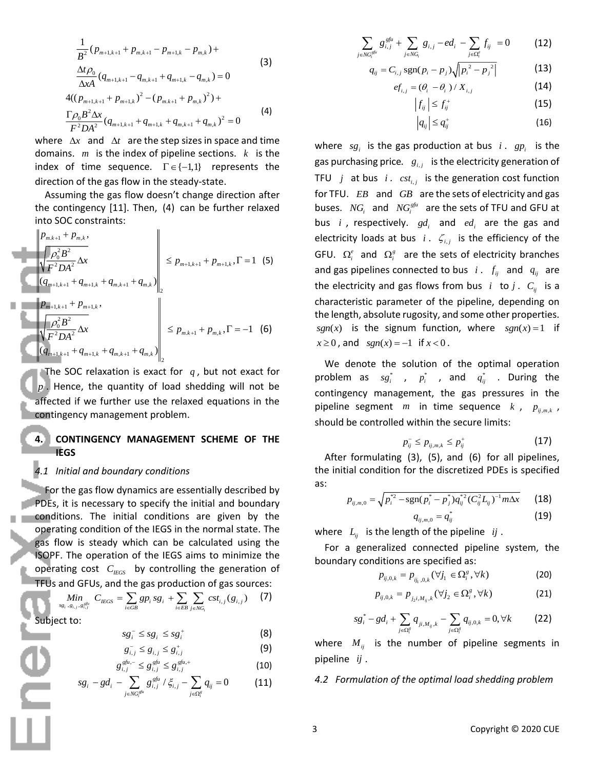$$
\frac{1}{B^2} (p_{m+1,k+1} + p_{m,k+1} - p_{m+1,k} - p_{m,k}) +
$$
\n
$$
\frac{\Delta t \rho_0}{\Delta x A} (q_{m+1,k+1} - q_{m,k+1} + q_{m+1,k} - q_{m,k}) = 0
$$
\n
$$
4((p_{m+1,k+1} + p_{m+1,k})^2 - (p_{m,k+1} + p_{m,k})^2) +
$$
\n
$$
\frac{\Gamma \rho_0 B^2 \Delta x}{F^2 D A^2} (q_{m+1,k+1} + q_{m+1,k} + q_{m,k+1} + q_{m,k})^2 = 0
$$
\n(4)

where  $\Delta x$  and  $\Delta t$  are the step sizes in space and time domains. *m* is the index of pipeline sections. *k* is the index of time sequence.  $\Gamma \in \{-1,1\}$  represents the direction of the gas flow in the steady-state.

Assuming the gas flow doesn't change direction after the contingency [11]. Then, (4) can be further relaxed into SOC constraints:

$$
\left\| \frac{p_{m,k+1} + p_{m,k}}{p_0^2 B^2} \Delta x \right\|_{2} \le p_{m+1,k+1} + p_{m+1,k}, \Gamma = 1 \quad (5)
$$
\n
$$
\left\| \frac{p_{m+1,k+1} + q_{m+1,k}}{q_{m+1,k+1} + p_{m+1,k}}, \right\|_{2}
$$
\n
$$
\left\| \frac{p_{m+1,k+1} + p_{m+1,k}}{p_0^2 B^2} \Delta x \right\|_{2} \le p_{m,k+1} + p_{m,k}, \Gamma = -1 \quad (6)
$$

The SOC relaxation is exact for  $q$ , but not exact for *p* . Hence, the quantity of load shedding will not be affected if we further use the relaxed equations in the contingency management problem.

### **4. CONTINGENCY MANAGEMENT SCHEME OF THE IEGS**

# *4.1 Initial and boundary conditions*

For the gas flow dynamics are essentially described by PDEs, it is necessary to specify the initial and boundary conditions. The initial conditions are given by the operating condition of the IEGS in the normal state. The gas flow is steady which can be calculated using the ISOPF. The operation of the IEGS aims to minimize the operating cost  $C_{IEGS}$  by controlling the generation of TFUs and GFUs, and the gas production of gas sources:

$$
\sum_{s_{g_i}, g_{i,j}, s_{i,j}^{g_i}} A_{\text{IEGS}} = \sum_{i \in GB} gp_i \, s_{g_i} + \sum_{i \in EB} \sum_{j \in NG_i} cst_{i,j}(g_{i,j}) \qquad (7)
$$

Subject to:

$$
sg_i^- \leq sg_i \leq sg_i^+ \tag{8}
$$

$$
g_{i,j}^{-} \leq g_{i,j} \leq g_{i,j}^{+} \tag{9}
$$

$$
g_{i,j}^{gfu,-} \leq g_{i,j}^{gfu} \leq g_{i,j}^{gfu,+} \tag{10}
$$

$$
sg_i - gd_i - \sum_{j \in NG_i^{gfa}} g_{i,j}^{gfa} / \xi_{i,j} - \sum_{j \in \Omega_i^g} q_{ij} = 0
$$
 (11)

$$
\sum_{j \in NG_i^{gfn}} g_{i,j}^{gfn} + \sum_{j \in NG_i} g_{i,j} - ed_i - \sum_{j \in \Omega_i^c} f_{ij} = 0
$$
 (12)

$$
q_{ij} = C_{i,j} \operatorname{sgn}(p_i - p_j) \sqrt{|p_i^2 - p_j^2|} \tag{13}
$$

$$
ef_{i,j} = (\theta_i - \theta_i) / X_{i,j}
$$
 (14)

$$
\left|f_{ij}\right| \leq f_{ij}^+\tag{15}
$$

$$
\left|q_{ij}\right| \leq q_{ij}^+ \tag{16}
$$

where  $sg_i$  is the gas production at bus  $i$ .  $gp_i$  is the gas purchasing price.  $\left| g_{i,j} \right\rangle$  is the electricity generation of TFU  $j$  at bus  $i$ .  $cst_{i,j}$  is the generation cost function for TFU. EB and GB are the sets of electricity and gas buses.  $NG_i$  and  $NG_i^{gfn}$  are the sets of TFU and GFU at bus *i*, respectively.  $gd_i$  and  $ed_i$  are the gas and electricity loads at bus  $i$ .  $\zeta_{i,j}$  is the efficiency of the GFU.  $\Omega_i^e$  and  $\Omega_i^g$  are the sets of electricity branches and gas pipelines connected to bus  $i$  .  $f_{ij}$  and  $q_{ij}$  are the electricity and gas flows from bus  $i$  to  $j$ .  $C_{ij}$  is a characteristic parameter of the pipeline, depending on the length, absolute rugosity, and some other properties.  $sgn(x)$  is the signum function, where  $sgn(x) = 1$  if  $x \ge 0$ , and  $sgn(x) = -1$  if  $x < 0$ .

We denote the solution of the optimal operation problem as  $sg_i^*$  ,  $p_i^*$  , and  $q_{ij}^*$  . During the contingency management, the gas pressures in the pipeline segment *m* in time sequence *k*,  $p_{ij,m,k}$ , should be controlled within the secure limits:

$$
p_{ij}^- \leq p_{ij,m,k} \leq p_{ij}^+ \tag{17}
$$

After formulating (3), (5), and (6) for all pipelines, the initial condition for the discretized PDEs is specified as:

$$
p_{ij,m,0} = \sqrt{p_i^{*2} - \text{sgn}(p_i^* - p_j^*)q_{ij}^{*2}(C_{ij}^2 L_{ij})^{-1}m\Delta x}
$$
 (18)

$$
q_{ij,m,0}=q_{ij}^*
$$
 (19)

where  $L_{ij}$  is the length of the pipeline  $ij$ .

For a generalized connected pipeline system, the boundary conditions are specified as:

$$
p_{ij,0,k} = p_{ij,0,k} (\forall j_1 \in \Omega_i^s, \forall k)
$$
 (20)

$$
p_{ij,0,k} = p_{j_2i,M_{ij},k}(\forall j_2 \in \Omega_i^s, \forall k)
$$
 (21)

$$
sg_i^* - gd_i + \sum_{j \in \Omega_i^g} q_{ji, M_{ij}, k} - \sum_{j \in \Omega_i^g} q_{ij, 0, k} = 0, \forall k
$$
 (22)

where  $M_{ij}$  is the number of pipeline segments in pipeline *ij* .

*4.2 Formulation of the optimal load shedding problem*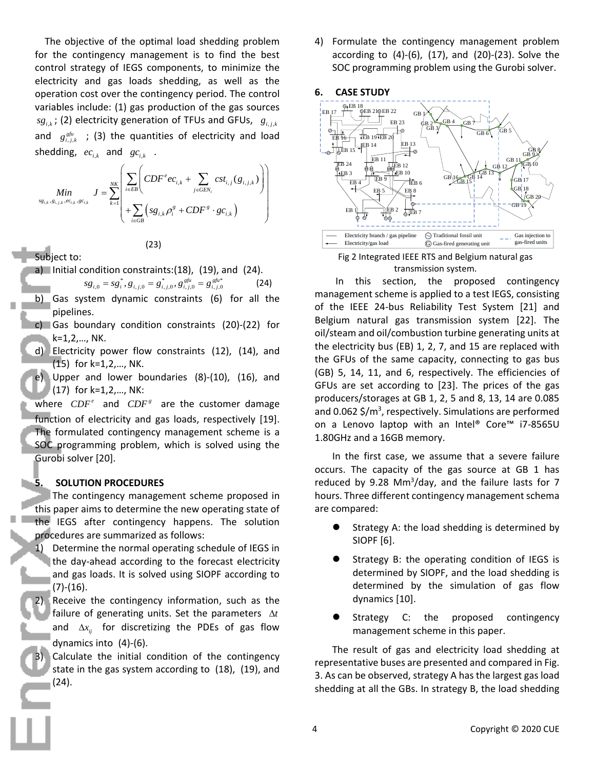The objective of the optimal load shedding problem for the contingency management is to find the best control strategy of IEGS components, to minimize the electricity and gas loads shedding, as well as the operation cost over the contingency period. The control variables include: (1) gas production of the gas sources  $sg_{i,k}$ ; (2) electricity generation of TFUs and GFUs,  $g_{i,j,k}$ and  $g_{i,j,k}^{g\ell\mu}$  ; (3) the quantities of electricity and load shedding,  $ec_{i,k}$  and  $gc_{i,k}$  .

$$
Min \limits_{sg_{i,k}, g_{i,j,k}, ec_{i,k}, gc_{i,k}} J = \sum_{k=1}^{NK} \left( \frac{\sum_{i \in EB} \left(CDF^{e}ec_{i,k} + \sum_{j \in GEN_{i}} cst_{i,j}(g_{i,j,k})\right)}{\sum_{i \in GB} \left(sg_{i,k}\rho_{i}^{g} + CDF^{g} \cdot gc_{i,k}\right)} \right)
$$

Subject to:

a) Initial condition constraints:(18), (19), and (24).

(23)

$$
sg_{i,0} = sg_i^*, g_{i,j,0} = g_{i,j,0}^{*}, g_{i,j,0}^{gfu} = g_{i,j,0}^{gfu^*}
$$
 (24)

- b) Gas system dynamic constraints (6) for all the pipelines.
- c) Gas boundary condition constraints (20)-(22) for k=1,2,…, NK.
- d) Electricity power flow constraints (12), (14), and (15) for k=1,2,…, NK.
- e) Upper and lower boundaries (8)-(10), (16), and  $(17)$  for k=1,2,..., NK:

where  $CDF^e$  and  $CDF^e$  are the customer damage function of electricity and gas loads, respectively [19]. The formulated contingency management scheme is a SOC programming problem, which is solved using the Gurobi solver [20].

#### **5. SOLUTION PROCEDURES**

The contingency management scheme proposed in this paper aims to determine the new operating state of the IEGS after contingency happens. The solution procedures are summarized as follows:

1) Determine the normal operating schedule of IEGS in the day-ahead according to the forecast electricity and gas loads. It is solved using SIOPF according to (7)-(16).

2) Receive the contingency information, such as the failure of generating units. Set the parameters  $\Delta t$ and  $\Delta x_{ij}$  for discretizing the PDEs of gas flow dynamics into (4)-(6).

Calculate the initial condition of the contingency state in the gas system according to (18), (19), and (24).

4) Formulate the contingency management problem according to (4)-(6), (17), and (20)-(23). Solve the SOC programming problem using the Gurobi solver.

### **6. CASE STUDY**



### transmission system.

In this section, the proposed contingency management scheme is applied to a test IEGS, consisting of the IEEE 24-bus Reliability Test System [21] and Belgium natural gas transmission system [22]. The oil/steam and oil/combustion turbine generating units at the electricity bus (EB) 1, 2, 7, and 15 are replaced with the GFUs of the same capacity, connecting to gas bus (GB) 5, 14, 11, and 6, respectively. The efficiencies of GFUs are set according to [23]. The prices of the gas producers/storages at GB 1, 2, 5 and 8, 13, 14 are 0.085 and 0.062 \$/m<sup>3</sup>, respectively. Simulations are performed on a Lenovo laptop with an Intel® Core™ i7-8565U 1.80GHz and a 16GB memory.

In the first case, we assume that a severe failure occurs. The capacity of the gas source at GB 1 has reduced by 9.28 Mm<sup>3</sup>/day, and the failure lasts for 7 hours. Three different contingency management schema are compared:

- Strategy A: the load shedding is determined by SIOPF [6].
- Strategy B: the operating condition of IEGS is determined by SIOPF, and the load shedding is determined by the simulation of gas flow dynamics [10].
- Strategy C: the proposed contingency management scheme in this paper.

The result of gas and electricity load shedding at representative buses are presented and compared in Fig. 3. As can be observed, strategy A has the largest gas load shedding at all the GBs. In strategy B, the load shedding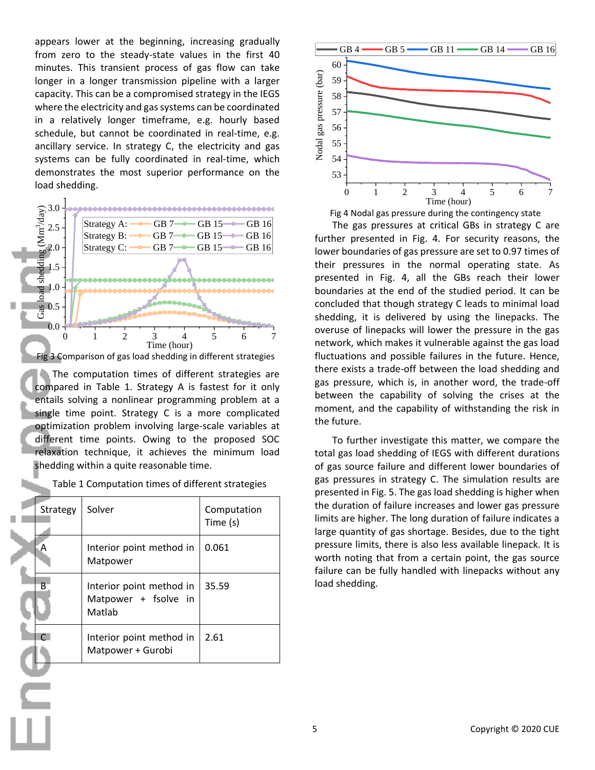appears lower at the beginning, increasing gradually from zero to the steady-state values in the first 40 minutes. This transient process of gas flow can take longer in a longer transmission pipeline with a larger capacity. This can be a compromised strategy in the IEGS where the electricity and gas systems can be coordinated in a relatively longer timeframe, e.g. hourly based schedule, but cannot be coordinated in real-time, e.g. ancillary service. In strategy C, the electricity and gas systems can be fully coordinated in real-time, which demonstrates the most superior performance on the load shedding.



The computation times of different strategies are compared in Table 1. Strategy A is fastest for it only entails solving a nonlinear programming problem at a single time point. Strategy C is a more complicated optimization problem involving large-scale variables at different time points. Owing to the proposed SOC relaxation technique, it achieves the minimum load shedding within a quite reasonable time.

|  | Table 1 Computation times of different strategies |
|--|---------------------------------------------------|
|--|---------------------------------------------------|

| Strategy      | Solver                                                     | Computation<br>Time (s) |
|---------------|------------------------------------------------------------|-------------------------|
|               | Interior point method in<br>Matpower                       | 0.061                   |
| В             | Interior point method in<br>Matpower + fsolve in<br>Matlab | 35.59                   |
| $\mathcal{C}$ | Interior point method in<br>Matpower + Gurobi              | 2.61                    |



The gas pressures at critical GBs in strategy C are further presented in Fig. 4. For security reasons, the lower boundaries of gas pressure are set to 0.97 times of their pressures in the normal operating state. As presented in Fig. 4, all the GBs reach their lower boundaries at the end of the studied period. It can be concluded that though strategy C leads to minimal load shedding, it is delivered by using the linepacks. The overuse of linepacks will lower the pressure in the gas network, which makes it vulnerable against the gas load fluctuations and possible failures in the future. Hence, there exists a trade-off between the load shedding and gas pressure, which is, in another word, the trade-off between the capability of solving the crises at the moment, and the capability of withstanding the risk in the future.

To further investigate this matter, we compare the total gas load shedding of IEGS with different durations of gas source failure and different lower boundaries of gas pressures in strategy C. The simulation results are presented in Fig. 5. The gas load shedding is higher when the duration of failure increases and lower gas pressure limits are higher. The long duration of failure indicates a large quantity of gas shortage. Besides, due to the tight pressure limits, there is also less available linepack. It is worth noting that from a certain point, the gas source failure can be fully handled with linepacks without any load shedding.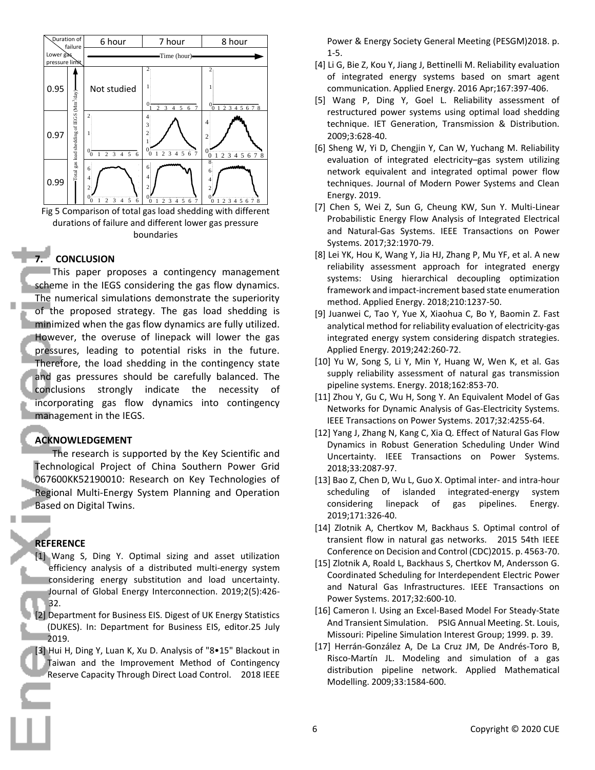

Fig 5 Comparison of total gas load shedding with different 5 Comparison or total gas load shedding with different<br>durations of failure and different lower gas pressure boundaries 0 1 2 3 4 5 6 1.39E-015  $\frac{0}{1}$   $\frac{1}{2}$   $\frac{3}{3}$   $\frac{4}{5}$   $\frac{5}{6}$   $\frac{6}{1}$   $\frac{1}{2}$   $\frac{2}{3}$   $\frac{3}{4}$   $\frac{4}{5}$   $\frac{6}{1}$   $\frac{7}{1}$   $\frac{1}{2}$   $\frac{3}{4}$   $\frac{4}{5}$   $\frac{6}{1}$   $\frac{7}{1}$   $\frac{1}{2}$   $\frac{3}{4}$   $\frac{4}{5}$   $\frac{6}{1}$   $\frac{7}{1}$  4

#### **7. CONCLUSION** 4

**CONCLUSION**<br>This paper proposes a contingency management scheme in the IEGS considering the gas flow dynamics. The numerical simulations demonstrate the superiority of the proposed strategy. The gas load shedding is minimized when the gas flow dynamics are fully utilized. However, the overuse of linepack will lower the gas pressures, leading to potential risks in the future. Therefore, the load shedding in the contingency state and gas pressures should be carefully balanced. The conclusions strongly indicate the necessity of incorporating gas flow dynamics into contingency management in the IEGS. GS considering the gas flow dynamics.

# **ACKNOWLEDGEMENT**

The research is supported by the Key Scientific and Technological Project of China Southern Power Grid 067600KK52190010: Research on Key Technologies of Regional Multi-Energy System Planning and Operation Based on Digital Twins.

# **REFERENCE**

- [1] Wang S, Ding Y. Optimal sizing and asset utilization efficiency analysis of a distributed multi-energy system considering energy substitution and load uncertainty. Journal of Global Energy Interconnection. 2019;2(5):426- 32.
- [2] Department for Business EIS. Digest of UK Energy Statistics (DUKES). In: Department for Business EIS, editor.25 July 2019.

[3] Hui H, Ding Y, Luan K, Xu D. Analysis of "8•15" Blackout in Taiwan and the Improvement Method of Contingency Reserve Capacity Through Direct Load Control. 2018 IEEE

Power & Energy Society General Meeting (PESGM)2018. p.  $1-5.$ 

- $\Box$  [4] Li G, Bie Z, Kou Y, Jiang J, Bettinelli M. Reliability evaluation of integrated energy systems based on smart agent communication. Applied Energy. 2016 Apr;167:397-406. **1999** The Company of the Company of the
- | [5] Wang P, Ding Y, Goel L. Reliability assessment of restructured power systems using optimal load shedding technique. IET Generation, Transmission & Distribution. 2009;3:628-40. discussion of the contract of the contract of the contract of the contract of the contract of the contract of 4.15E-015 Online and the control of the control of the control of the control of Time (hour)
	- [6] Sheng W, Yi D, Chengjin Y, Can W, Yuchang M. Reliability evaluation of integrated electricity-gas system utilizing network equivalent and integrated optimal power flow techniques. Journal of Modern Power Systems and Clean Energy. 2019.
	- [7] Chen S, Wei Z, Sun G, Cheung KW, Sun Y. Multi-Linear Probabilistic Energy Flow Analysis of Integrated Electrical and Natural-Gas Systems. IEEE Transactions on Power Systems. 2017;32:1970-79. erent the top Pro
		- [8] Lei YK, Hou K, Wang Y, Jia HJ, Zhang P, Mu YF, et al. A new reliability assessment approach for integrated energy systems: Using hierarchical decoupling optimization framework and impact-increment based state enumeration method. Applied Energy. 2018;210:1237-50.
		- [9] Juanwei C, Tao Y, Yue X, Xiaohua C, Bo Y, Baomin Z. Fast analytical method for reliability evaluation of electricity-gas integrated energy system considering dispatch strategies. Applied Energy. 2019;242:260-72.
		- [10] Yu W, Song S, Li Y, Min Y, Huang W, Wen K, et al. Gas supply reliability assessment of natural gas transmission pipeline systems. Energy. 2018;162:853-70.
		- [11] Zhou Y, Gu C, Wu H, Song Y. An Equivalent Model of Gas Networks for Dynamic Analysis of Gas-Electricity Systems. IEEE Transactions on Power Systems. 2017;32:4255-64.
		- [12] Yang J, Zhang N, Kang C, Xia Q. Effect of Natural Gas Flow Dynamics in Robust Generation Scheduling Under Wind Uncertainty. IEEE Transactions on Power Systems. 2018;33:2087-97.
		- [13] Bao Z, Chen D, Wu L, Guo X. Optimal inter- and intra-hour scheduling of islanded integrated-energy system considering linepack of gas pipelines. Energy. 2019;171:326-40.
		- [14] Zlotnik A, Chertkov M, Backhaus S. Optimal control of transient flow in natural gas networks. 2015 54th IEEE Conference on Decision and Control (CDC)2015. p. 4563-70.
		- [15] Zlotnik A, Roald L, Backhaus S, Chertkov M, Andersson G. Coordinated Scheduling for Interdependent Electric Power and Natural Gas Infrastructures. IEEE Transactions on Power Systems. 2017;32:600-10.
		- [16] Cameron I. Using an Excel-Based Model For Steady-State And Transient Simulation. PSIG Annual Meeting. St. Louis, Missouri: Pipeline Simulation Interest Group; 1999. p. 39.
		- [17] Herrán-González A, De La Cruz JM, De Andrés-Toro B, Risco-Martín JL. Modeling and simulation of a gas distribution pipeline network. Applied Mathematical Modelling. 2009;33:1584-600.